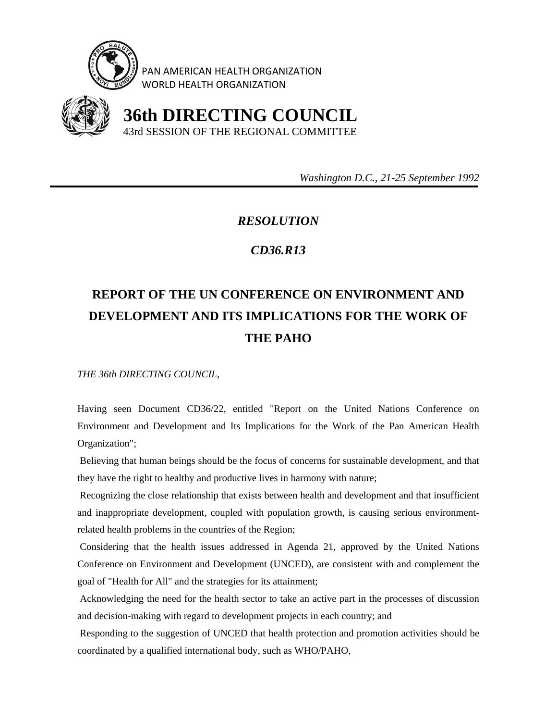

PAN AMERICAN HEALTH ORGANIZATION WORLD HEALTH ORGANIZATION



 **36th DIRECTING COUNCIL** 43rd SESSION OF THE REGIONAL COMMITTEE

 *Washington D.C., 21-25 September 1992* 

## *RESOLUTION*

## *CD36.R13*

## **REPORT OF THE UN CONFERENCE ON ENVIRONMENT AND DEVELOPMENT AND ITS IMPLICATIONS FOR THE WORK OF THE PAHO**

*THE 36th DIRECTING COUNCIL,* 

Having seen Document CD36/22, entitled "Report on the United Nations Conference on Environment and Development and Its Implications for the Work of the Pan American Health Organization";

 Believing that human beings should be the focus of concerns for sustainable development, and that they have the right to healthy and productive lives in harmony with nature;

 Recognizing the close relationship that exists between health and development and that insufficient and inappropriate development, coupled with population growth, is causing serious environmentrelated health problems in the countries of the Region;

 Considering that the health issues addressed in Agenda 21, approved by the United Nations Conference on Environment and Development (UNCED), are consistent with and complement the goal of "Health for All" and the strategies for its attainment;

 Acknowledging the need for the health sector to take an active part in the processes of discussion and decision-making with regard to development projects in each country; and

 Responding to the suggestion of UNCED that health protection and promotion activities should be coordinated by a qualified international body, such as WHO/PAHO,